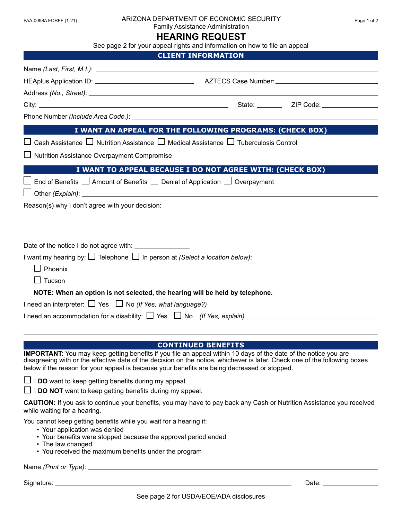| FAA-0098A FORFF (1-21) |  |
|------------------------|--|

#### ARIZONA DEPARTMENT OF ECONOMIC SECURITY For a page 1 of 2

Family Assistance Administration

# **HEARING REQUEST**

| See page 2 for your appeal rights and information on how to file an appeal                                                                                                                                                                                                                                                                    |                                                           |  |  |
|-----------------------------------------------------------------------------------------------------------------------------------------------------------------------------------------------------------------------------------------------------------------------------------------------------------------------------------------------|-----------------------------------------------------------|--|--|
|                                                                                                                                                                                                                                                                                                                                               | <b>CLIENT INFORMATION</b>                                 |  |  |
|                                                                                                                                                                                                                                                                                                                                               |                                                           |  |  |
|                                                                                                                                                                                                                                                                                                                                               |                                                           |  |  |
|                                                                                                                                                                                                                                                                                                                                               |                                                           |  |  |
|                                                                                                                                                                                                                                                                                                                                               |                                                           |  |  |
|                                                                                                                                                                                                                                                                                                                                               |                                                           |  |  |
|                                                                                                                                                                                                                                                                                                                                               | I WANT AN APPEAL FOR THE FOLLOWING PROGRAMS: (CHECK BOX)  |  |  |
| $\Box$ Cash Assistance $\Box$ Nutrition Assistance $\Box$ Medical Assistance $\Box$ Tuberculosis Control                                                                                                                                                                                                                                      |                                                           |  |  |
| □ Nutrition Assistance Overpayment Compromise                                                                                                                                                                                                                                                                                                 |                                                           |  |  |
|                                                                                                                                                                                                                                                                                                                                               | I WANT TO APPEAL BECAUSE I DO NOT AGREE WITH: (CHECK BOX) |  |  |
| End of Benefits $\Box$ Amount of Benefits $\Box$ Denial of Application $\Box$ Overpayment                                                                                                                                                                                                                                                     |                                                           |  |  |
|                                                                                                                                                                                                                                                                                                                                               |                                                           |  |  |
| Reason(s) why I don't agree with your decision:                                                                                                                                                                                                                                                                                               |                                                           |  |  |
|                                                                                                                                                                                                                                                                                                                                               |                                                           |  |  |
| Date of the notice I do not agree with: _________________                                                                                                                                                                                                                                                                                     |                                                           |  |  |
| I want my hearing by: $\square$ Telephone $\square$ In person at (Select a location below):                                                                                                                                                                                                                                                   |                                                           |  |  |
|                                                                                                                                                                                                                                                                                                                                               |                                                           |  |  |
| $\Box$ Phoenix                                                                                                                                                                                                                                                                                                                                |                                                           |  |  |
| $\Box$ Tucson                                                                                                                                                                                                                                                                                                                                 |                                                           |  |  |
| NOTE: When an option is not selected, the hearing will be held by telephone.                                                                                                                                                                                                                                                                  |                                                           |  |  |
| I need an interpreter: $\Box$ Yes $\Box$ No (If Yes, what language?) $\_\_$                                                                                                                                                                                                                                                                   |                                                           |  |  |
|                                                                                                                                                                                                                                                                                                                                               |                                                           |  |  |
|                                                                                                                                                                                                                                                                                                                                               |                                                           |  |  |
| IMPORTANT: You may keep getting benefits if you file an appeal within 10 days of the date of the notice you are<br>disagreeing with or the effective date of the decision on the notice, whichever is later. Check one of the following boxes<br>below if the reason for your appeal is because your benefits are being decreased or stopped. | <b>CONTINUED BENEFITS</b>                                 |  |  |
| $\Box$ I DO want to keep getting benefits during my appeal.                                                                                                                                                                                                                                                                                   |                                                           |  |  |
| $\Box$ I DO NOT want to keep getting benefits during my appeal.                                                                                                                                                                                                                                                                               |                                                           |  |  |
| <b>CAUTION:</b> If you ask to continue your benefits, you may have to pay back any Cash or Nutrition Assistance you received<br>while waiting for a hearing.                                                                                                                                                                                  |                                                           |  |  |
| You cannot keep getting benefits while you wait for a hearing if:                                                                                                                                                                                                                                                                             |                                                           |  |  |
| • Your application was denied<br>• Your benefits were stopped because the approval period ended                                                                                                                                                                                                                                               |                                                           |  |  |
| • The law changed                                                                                                                                                                                                                                                                                                                             |                                                           |  |  |
| • You received the maximum benefits under the program                                                                                                                                                                                                                                                                                         |                                                           |  |  |
| Name ( <i>Print or Type</i> ): $\_$                                                                                                                                                                                                                                                                                                           |                                                           |  |  |

Signature: Date: Detection of the Contract of the Contract of the Contract of the Contract of the Date: Date: